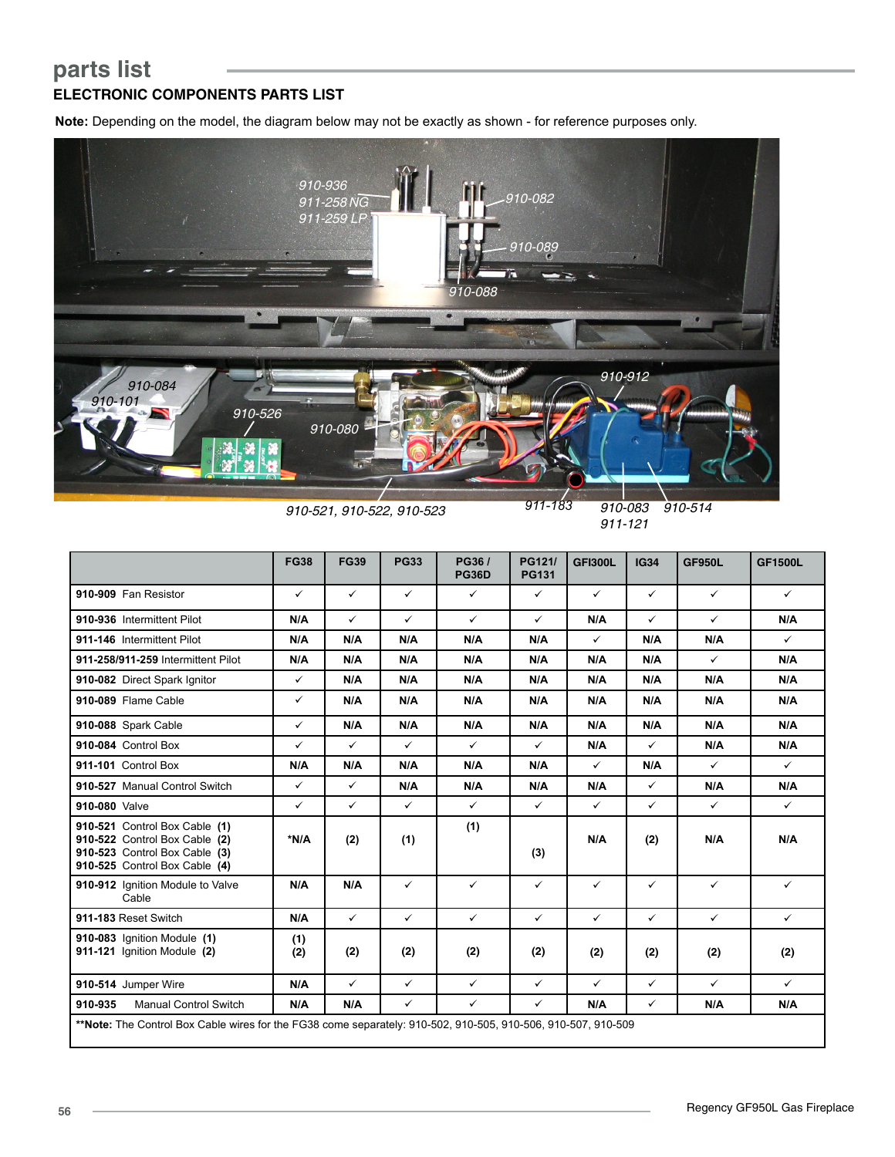## **parts list ELECTRONIC COMPONENTS PARTS LIST**

**Note:** Depending on the model, the diagram below may not be exactly as shown - for reference purposes only.



*910-521, 910-522, 910-523*

*910-083 911-183 910-514*

*911-121*

|                                                                                                                                  | <b>FG38</b>  | <b>FG39</b>  | <b>PG33</b>  | PG36/<br><b>PG36D</b> | PG121/<br><b>PG131</b> | <b>GFI300L</b> | <b>IG34</b>  | <b>GF950L</b> | <b>GF1500L</b> |
|----------------------------------------------------------------------------------------------------------------------------------|--------------|--------------|--------------|-----------------------|------------------------|----------------|--------------|---------------|----------------|
| 910-909 Fan Resistor                                                                                                             | ✓            | $\checkmark$ | $\checkmark$ | $\checkmark$          | $\checkmark$           | $\checkmark$   | $\checkmark$ | $\checkmark$  | $\checkmark$   |
| 910-936 Intermittent Pilot                                                                                                       | N/A          | $\checkmark$ | $\checkmark$ | $\checkmark$          | $\checkmark$           | N/A            | $\checkmark$ | $\checkmark$  | N/A            |
| 911-146 Intermittent Pilot                                                                                                       | N/A          | N/A          | N/A          | N/A                   | N/A                    | ✓              | N/A          | N/A           | $\checkmark$   |
| 911-258/911-259 Intermittent Pilot                                                                                               | N/A          | N/A          | N/A          | N/A                   | N/A                    | N/A            | N/A          | $\checkmark$  | N/A            |
| 910-082 Direct Spark Ignitor                                                                                                     | $\checkmark$ | N/A          | N/A          | N/A                   | N/A                    | N/A            | N/A          | N/A           | N/A            |
| 910-089 Flame Cable                                                                                                              | ✓            | N/A          | N/A          | N/A                   | N/A                    | N/A            | N/A          | N/A           | N/A            |
| 910-088 Spark Cable                                                                                                              | ✓            | N/A          | N/A          | N/A                   | N/A                    | N/A            | N/A          | N/A           | N/A            |
| 910-084 Control Box                                                                                                              | ✓            | ✓            | $\checkmark$ | $\checkmark$          | $\checkmark$           | N/A            | $\checkmark$ | N/A           | N/A            |
| 911-101 Control Box                                                                                                              | N/A          | N/A          | N/A          | N/A                   | N/A                    | $\checkmark$   | N/A          | $\checkmark$  | $\checkmark$   |
| 910-527 Manual Control Switch                                                                                                    | $\checkmark$ | $\checkmark$ | N/A          | N/A                   | N/A                    | N/A            | $\checkmark$ | N/A           | N/A            |
| 910-080 Valve                                                                                                                    | $\checkmark$ | $\checkmark$ | $\checkmark$ | $\checkmark$          | $\checkmark$           | $\checkmark$   | ✓            | $\checkmark$  | $\checkmark$   |
| 910-521 Control Box Cable (1)<br>910-522 Control Box Cable (2)<br>910-523 Control Box Cable (3)<br>910-525 Control Box Cable (4) | *N/A         | (2)          | (1)          | (1)                   | (3)                    | N/A            | (2)          | N/A           | N/A            |
| 910-912 Ignition Module to Valve<br>Cable                                                                                        | N/A          | N/A          | $\checkmark$ | $\checkmark$          | ✓                      | $\checkmark$   | $\checkmark$ | $\checkmark$  | ✓              |
| 911-183 Reset Switch                                                                                                             | N/A          | $\checkmark$ | $\checkmark$ | $\checkmark$          | $\checkmark$           | $\checkmark$   | $\checkmark$ | $\checkmark$  | $\checkmark$   |
| 910-083 Ignition Module (1)<br>911-121 Ignition Module (2)                                                                       | (1)<br>(2)   | (2)          | (2)          | (2)                   | (2)                    | (2)            | (2)          | (2)           | (2)            |
| 910-514 Jumper Wire                                                                                                              | N/A          | $\checkmark$ | $\checkmark$ | $\checkmark$          | $\checkmark$           | $\checkmark$   | $\checkmark$ | $\checkmark$  | $\checkmark$   |
| 910-935<br><b>Manual Control Switch</b>                                                                                          | N/A          | N/A          | ✓            | $\checkmark$          | ✓                      | N/A            | ✓            | N/A           | N/A            |
| **Note: The Control Box Cable wires for the FG38 come separately: 910-502, 910-505, 910-506, 910-507, 910-509                    |              |              |              |                       |                        |                |              |               |                |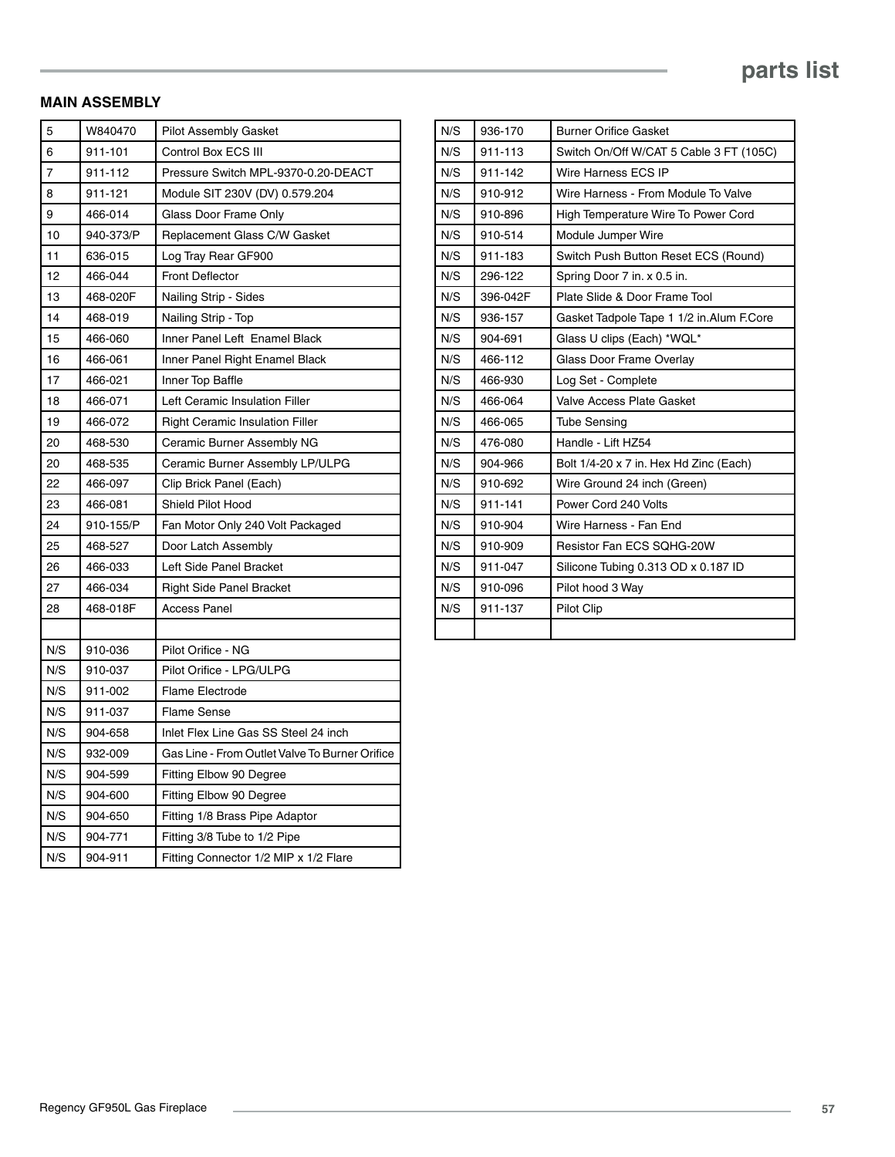## **MAIN ASSEMBLY**

| 5   | W840470   | <b>Pilot Assembly Gasket</b>                   |  |
|-----|-----------|------------------------------------------------|--|
| 6   | 911-101   | Control Box ECS III                            |  |
| 7   | 911-112   | Pressure Switch MPL-9370-0.20-DEACT            |  |
| 8   | 911-121   | Module SIT 230V (DV) 0.579.204                 |  |
| 9   | 466-014   | Glass Door Frame Only                          |  |
| 10  | 940-373/P | Replacement Glass C/W Gasket                   |  |
| 11  | 636-015   | Log Tray Rear GF900                            |  |
| 12  | 466-044   | <b>Front Deflector</b>                         |  |
| 13  | 468-020F  | Nailing Strip - Sides                          |  |
| 14  | 468-019   | Nailing Strip - Top                            |  |
| 15  | 466-060   | Inner Panel Left Enamel Black                  |  |
| 16  | 466-061   | Inner Panel Right Enamel Black                 |  |
| 17  | 466-021   | Inner Top Baffle                               |  |
| 18  | 466-071   | Left Ceramic Insulation Filler                 |  |
| 19  | 466-072   | <b>Right Ceramic Insulation Filler</b>         |  |
| 20  | 468-530   | Ceramic Burner Assembly NG                     |  |
| 20  | 468-535   | Ceramic Burner Assembly LP/ULPG                |  |
| 22  | 466-097   | Clip Brick Panel (Each)                        |  |
| 23  | 466-081   | Shield Pilot Hood                              |  |
| 24  | 910-155/P | Fan Motor Only 240 Volt Packaged               |  |
| 25  | 468-527   | Door Latch Assembly                            |  |
| 26  | 466-033   | Left Side Panel Bracket                        |  |
| 27  | 466-034   | <b>Right Side Panel Bracket</b>                |  |
| 28  | 468-018F  | <b>Access Panel</b>                            |  |
|     |           |                                                |  |
| N/S | 910-036   | Pilot Orifice - NG                             |  |
| N/S | 910-037   | Pilot Orifice - LPG/ULPG                       |  |
| N/S | 911-002   | <b>Flame Electrode</b>                         |  |
| N/S | 911-037   | <b>Flame Sense</b>                             |  |
| N/S | 904-658   | Inlet Flex Line Gas SS Steel 24 inch           |  |
| N/S | 932-009   | Gas Line - From Outlet Valve To Burner Orifice |  |
| N/S | 904-599   | Fitting Elbow 90 Degree                        |  |
| N/S | 904-600   | Fitting Elbow 90 Degree                        |  |
| N/S | 904-650   | Fitting 1/8 Brass Pipe Adaptor                 |  |
| N/S | 904-771   | Fitting 3/8 Tube to 1/2 Pipe                   |  |
| N/S | 904-911   | Fitting Connector 1/2 MIP x 1/2 Flare          |  |

| N/S | 936-170  | <b>Burner Orifice Gasket</b>             |
|-----|----------|------------------------------------------|
| N/S | 911-113  | Switch On/Off W/CAT 5 Cable 3 FT (105C)  |
| N/S | 911-142  | Wire Harness ECS IP                      |
| N/S | 910-912  | Wire Harness - From Module To Valve      |
| N/S | 910-896  | High Temperature Wire To Power Cord      |
| N/S | 910-514  | Module Jumper Wire                       |
| N/S | 911-183  | Switch Push Button Reset ECS (Round)     |
| N/S | 296-122  | Spring Door 7 in. x 0.5 in.              |
| N/S | 396-042F | Plate Slide & Door Frame Tool            |
| N/S | 936-157  | Gasket Tadpole Tape 1 1/2 in Alum F.Core |
| N/S | 904-691  | Glass U clips (Each) *WQL*               |
| N/S | 466-112  | Glass Door Frame Overlay                 |
| N/S | 466-930  | Log Set - Complete                       |
| N/S | 466-064  | <b>Valve Access Plate Gasket</b>         |
| N/S | 466-065  | <b>Tube Sensing</b>                      |
| N/S | 476-080  | Handle - Lift HZ54                       |
| N/S | 904-966  | Bolt 1/4-20 x 7 in. Hex Hd Zinc (Each)   |
| N/S | 910-692  | Wire Ground 24 inch (Green)              |
| N/S | 911-141  | Power Cord 240 Volts                     |
| N/S | 910-904  | Wire Harness - Fan End                   |
| N/S | 910-909  | Resistor Fan ECS SQHG-20W                |
| N/S | 911-047  | Silicone Tubing 0.313 OD x 0.187 ID      |
| N/S | 910-096  | Pilot hood 3 Way                         |
| N/S | 911-137  | <b>Pilot Clip</b>                        |
|     |          |                                          |
|     |          |                                          |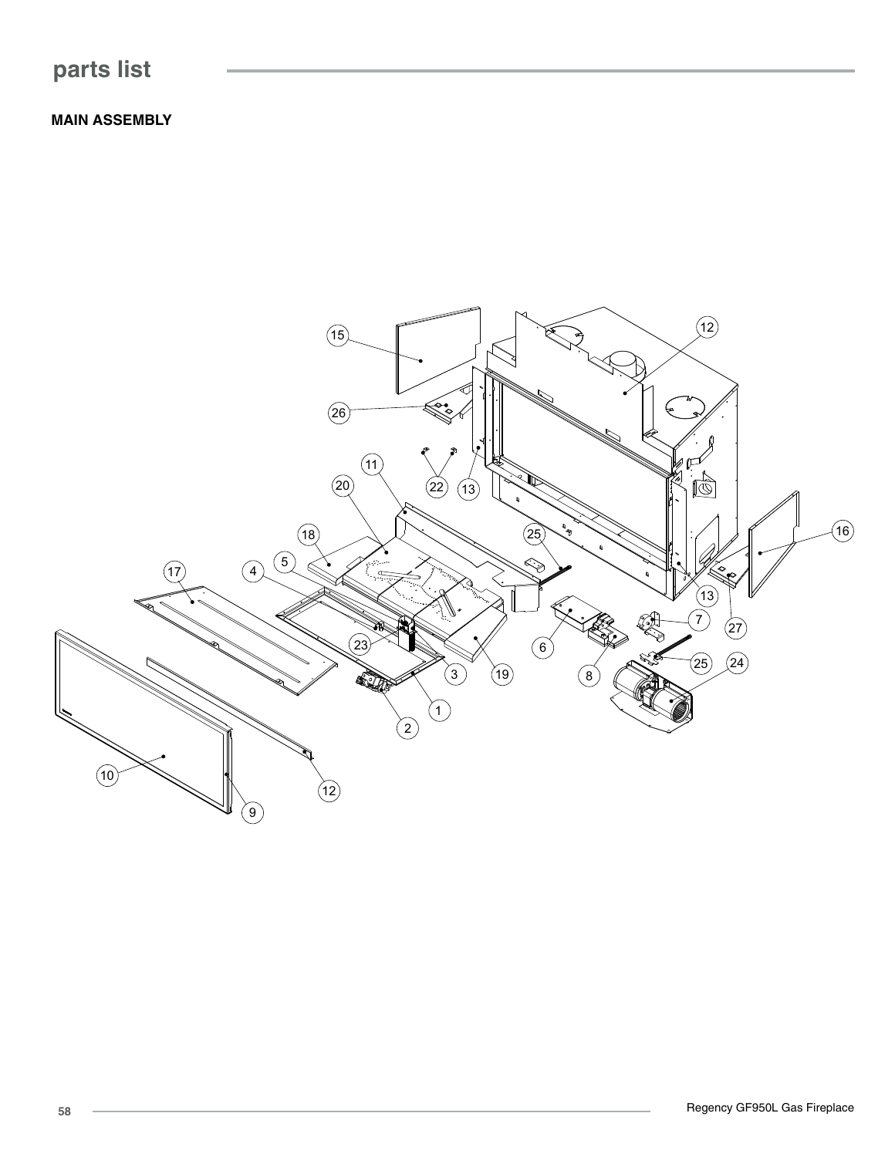## **parts list**

**MAIN ASSEMBLY**